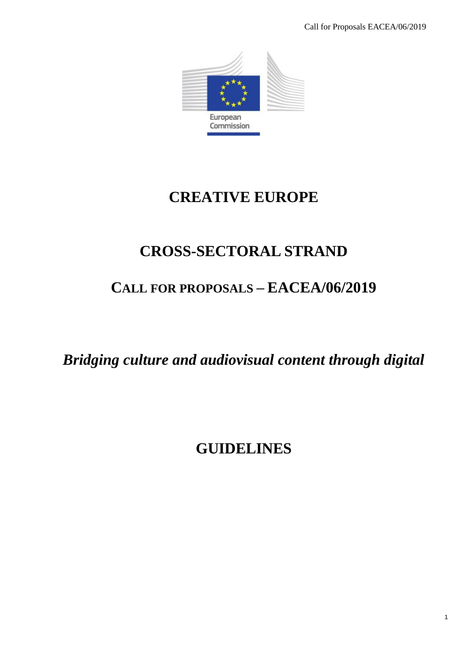

# **CREATIVE EUROPE**

# **CROSS-SECTORAL STRAND**

# **CALL FOR PROPOSALS – EACEA/06/2019**

*Bridging culture and audiovisual content through digital*

# **GUIDELINES**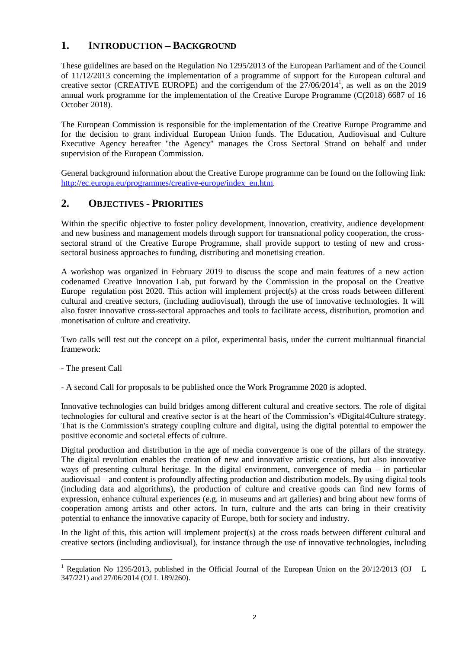# **1. INTRODUCTION – BACKGROUND**

These guidelines are based on the Regulation No 1295/2013 of the European Parliament and of the Council of 11/12/2013 concerning the implementation of a programme of support for the European cultural and creative sector (CREATIVE EUROPE) and the corrigendum of the  $27/06/2014^1$ , as well as on the 2019 annual work programme for the implementation of the Creative Europe Programme (C(2018) 6687 of 16 October 2018).

The European Commission is responsible for the implementation of the Creative Europe Programme and for the decision to grant individual European Union funds. The Education, Audiovisual and Culture Executive Agency hereafter "the Agency" manages the Cross Sectoral Strand on behalf and under supervision of the European Commission.

General background information about the Creative Europe programme can be found on the following link: [http://ec.europa.eu/programmes/creative-europe/index\\_en.htm.](http://ec.europa.eu/programmes/creative-europe/index_en.htm)

## **2. OBJECTIVES - PRIORITIES**

Within the specific objective to foster policy development, innovation, creativity, audience development and new business and management models through support for transnational policy cooperation, the crosssectoral strand of the Creative Europe Programme, shall provide support to testing of new and crosssectoral business approaches to funding, distributing and monetising creation.

A workshop was organized in February 2019 to discuss the scope and main features of a new action codenamed Creative Innovation Lab, put forward by the Commission in the proposal on the Creative Europe regulation post 2020. This action will implement project(s) at the cross roads between different cultural and creative sectors, (including audiovisual), through the use of innovative technologies. It will also foster innovative cross-sectoral approaches and tools to facilitate access, distribution, promotion and monetisation of culture and creativity.

Two calls will test out the concept on a pilot, experimental basis, under the current multiannual financial framework:

- The present Call
- A second Call for proposals to be published once the Work Programme 2020 is adopted.

Innovative technologies can build bridges among different cultural and creative sectors. The role of digital technologies for cultural and creative sector is at the heart of the Commission's #Digital4Culture strategy. That is the Commission's strategy coupling culture and digital, using the digital potential to empower the positive economic and societal effects of culture.

Digital production and distribution in the age of media convergence is one of the pillars of the strategy. The digital revolution enables the creation of new and innovative artistic creations, but also innovative ways of presenting cultural heritage. In the digital environment, convergence of media – in particular audiovisual – and content is profoundly affecting production and distribution models. By using digital tools (including data and algorithms), the production of culture and creative goods can find new forms of expression, enhance cultural experiences (e.g. in museums and art galleries) and bring about new forms of cooperation among artists and other actors. In turn, culture and the arts can bring in their creativity potential to enhance the innovative capacity of Europe, both for society and industry.

In the light of this, this action will implement project(s) at the cross roads between different cultural and creative sectors (including audiovisual), for instance through the use of innovative technologies, including

l <sup>1</sup> Regulation No 1295/2013, published in the Official Journal of the European Union on the 20/12/2013 (OJ L 347/221) and 27/06/2014 (OJ L 189/260).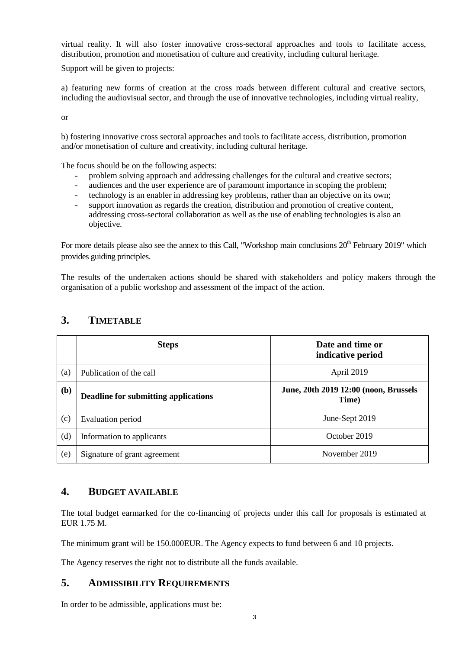virtual reality. It will also foster innovative cross-sectoral approaches and tools to facilitate access, distribution, promotion and monetisation of culture and creativity, including cultural heritage.

Support will be given to projects:

a) featuring new forms of creation at the cross roads between different cultural and creative sectors, including the audiovisual sector, and through the use of innovative technologies, including virtual reality,

or

b) fostering innovative cross sectoral approaches and tools to facilitate access, distribution, promotion and/or monetisation of culture and creativity, including cultural heritage.

The focus should be on the following aspects:

- problem solving approach and addressing challenges for the cultural and creative sectors;
- audiences and the user experience are of paramount importance in scoping the problem;
- technology is an enabler in addressing key problems, rather than an objective on its own;
- support innovation as regards the creation, distribution and promotion of creative content, addressing cross-sectoral collaboration as well as the use of enabling technologies is also an objective.

For more details please also see the annex to this Call, "Workshop main conclusions  $20^{th}$  February 2019" which provides guiding principles.

The results of the undertaken actions should be shared with stakeholders and policy makers through the organisation of a public workshop and assessment of the impact of the action.

|     | <b>Steps</b>                         | Date and time or<br>indicative period          |
|-----|--------------------------------------|------------------------------------------------|
| (a) | Publication of the call              | April 2019                                     |
| (b) | Deadline for submitting applications | June, 20th 2019 12:00 (noon, Brussels<br>Time) |
| (c) | Evaluation period                    | June-Sept 2019                                 |
| (d) | Information to applicants            | October 2019                                   |
| (e) | Signature of grant agreement         | November 2019                                  |

# **3. TIMETABLE**

### **4. BUDGET AVAILABLE**

The total budget earmarked for the co-financing of projects under this call for proposals is estimated at EUR 1.75 M.

The minimum grant will be 150.000EUR. The Agency expects to fund between 6 and 10 projects.

The Agency reserves the right not to distribute all the funds available.

### **5. ADMISSIBILITY REQUIREMENTS**

In order to be admissible, applications must be: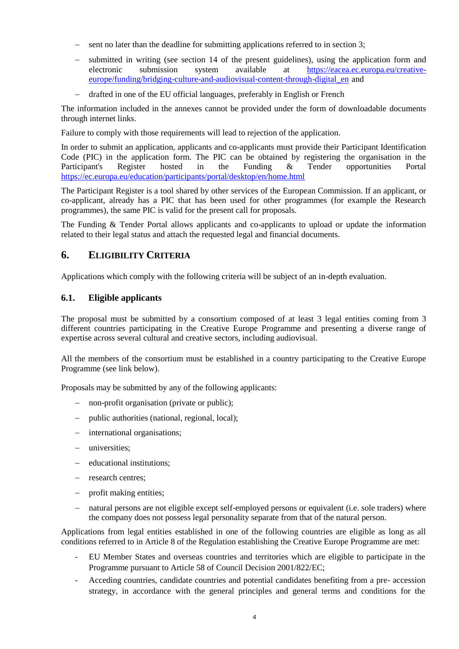- sent no later than the deadline for submitting applications referred to in section 3;
- submitted in writing (see section 14 of the present guidelines), using the application form and electronic submission system available at [https://eacea.ec.europa.eu/creative](https://eacea.ec.europa.eu/creative-europe/funding/bridging-culture-and-audiovisual-content-through-digital_en)[europe/funding/bridging-culture-and-audiovisual-content-through-digital\\_en](https://eacea.ec.europa.eu/creative-europe/funding/bridging-culture-and-audiovisual-content-through-digital_en) and
- drafted in one of the EU official languages, preferably in English or French

The information included in the annexes cannot be provided under the form of downloadable documents through internet links.

Failure to comply with those requirements will lead to rejection of the application.

In order to submit an application, applicants and co-applicants must provide their Participant Identification Code (PIC) in the application form. The PIC can be obtained by registering the organisation in the Participant's Register hosted in the Funding & Tender opportunities Portal <https://ec.europa.eu/education/participants/portal/desktop/en/home.html>

The Participant Register is a tool shared by other services of the European Commission. If an applicant, or co-applicant, already has a PIC that has been used for other programmes (for example the Research programmes), the same PIC is valid for the present call for proposals.

The Funding & Tender Portal allows applicants and co-applicants to upload or update the information related to their legal status and attach the requested legal and financial documents.

## **6. ELIGIBILITY CRITERIA**

Applications which comply with the following criteria will be subject of an in-depth evaluation.

### **6.1. Eligible applicants**

The proposal must be submitted by a consortium composed of at least 3 legal entities coming from 3 different countries participating in the Creative Europe Programme and presenting a diverse range of expertise across several cultural and creative sectors, including audiovisual.

All the members of the consortium must be established in a country participating to the Creative Europe Programme (see link below).

Proposals may be submitted by any of the following applicants:

- non-profit organisation (private or public);
- public authorities (national, regional, local);
- international organisations;
- universities;
- educational institutions;
- research centres;
- profit making entities;
- natural persons are not eligible except self-employed persons or equivalent (i.e. sole traders) where the company does not possess legal personality separate from that of the natural person.

Applications from legal entities established in one of the following countries are eligible as long as all conditions referred to in Article 8 of the Regulation establishing the Creative Europe Programme are met:

- EU Member States and overseas countries and territories which are eligible to participate in the Programme pursuant to Article 58 of Council Decision 2001/822/EC;
- Acceding countries, candidate countries and potential candidates benefiting from a pre- accession strategy, in accordance with the general principles and general terms and conditions for the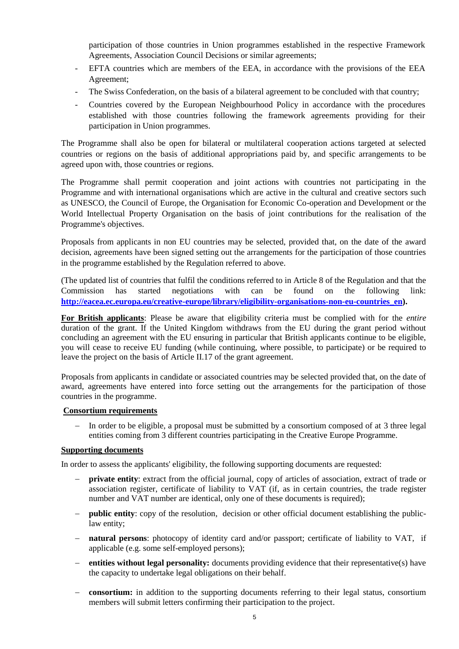participation of those countries in Union programmes established in the respective Framework Agreements, Association Council Decisions or similar agreements;

- EFTA countries which are members of the EEA, in accordance with the provisions of the EEA Agreement;
- The Swiss Confederation, on the basis of a bilateral agreement to be concluded with that country;
- Countries covered by the European Neighbourhood Policy in accordance with the procedures established with those countries following the framework agreements providing for their participation in Union programmes.

The Programme shall also be open for bilateral or multilateral cooperation actions targeted at selected countries or regions on the basis of additional appropriations paid by, and specific arrangements to be agreed upon with, those countries or regions.

The Programme shall permit cooperation and joint actions with countries not participating in the Programme and with international organisations which are active in the cultural and creative sectors such as UNESCO, the Council of Europe, the Organisation for Economic Co-operation and Development or the World Intellectual Property Organisation on the basis of joint contributions for the realisation of the Programme's objectives.

Proposals from applicants in non EU countries may be selected, provided that, on the date of the award decision, agreements have been signed setting out the arrangements for the participation of those countries in the programme established by the Regulation referred to above.

(The updated list of countries that fulfil the conditions referred to in Article 8 of the Regulation and that the Commission has started negotiations with can be found on the following link: **[http://eacea.ec.europa.eu/creative-europe/library/eligibility-organisations-non-eu-countries\\_en\)](http://eacea.ec.europa.eu/creative-europe/library/eligibility-organisations-non-eu-countries_en).**

**For British applicants**: Please be aware that eligibility criteria must be complied with for the *entire*  duration of the grant. If the United Kingdom withdraws from the EU during the grant period without concluding an agreement with the EU ensuring in particular that British applicants continue to be eligible, you will cease to receive EU funding (while continuing, where possible, to participate) or be required to leave the project on the basis of Article II.17 of the grant agreement.

Proposals from applicants in candidate or associated countries may be selected provided that, on the date of award, agreements have entered into force setting out the arrangements for the participation of those countries in the programme.

#### **Consortium requirements**

 In order to be eligible, a proposal must be submitted by a consortium composed of at 3 three legal entities coming from 3 different countries participating in the Creative Europe Programme.

#### **Supporting documents**

In order to assess the applicants' eligibility, the following supporting documents are requested:

- **private entity**: extract from the official journal, copy of articles of association, extract of trade or association register, certificate of liability to VAT (if, as in certain countries, the trade register number and VAT number are identical, only one of these documents is required);
- **public entity**: copy of the resolution, decision or other official document establishing the publiclaw entity;
- **natural persons**: photocopy of identity card and/or passport; certificate of liability to VAT, if applicable (e.g. some self-employed persons);
- **entities without legal personality:** documents providing evidence that their representative(s) have the capacity to undertake legal obligations on their behalf.
- **consortium:** in addition to the supporting documents referring to their legal status, consortium members will submit letters confirming their participation to the project.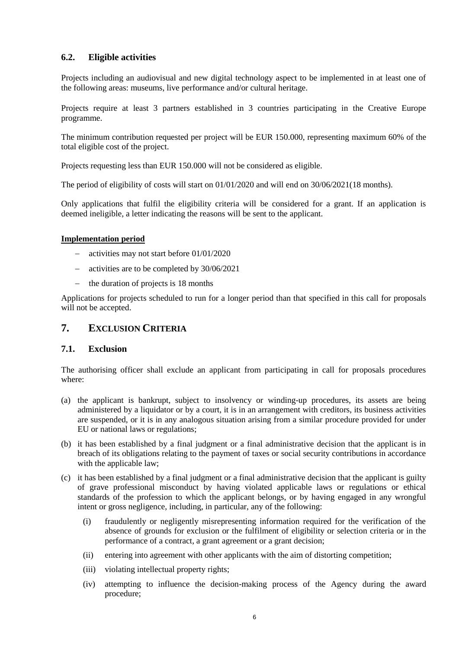## **6.2. Eligible activities**

Projects including an audiovisual and new digital technology aspect to be implemented in at least one of the following areas: museums, live performance and/or cultural heritage.

Projects require at least 3 partners established in 3 countries participating in the Creative Europe programme.

The minimum contribution requested per project will be EUR 150.000, representing maximum 60% of the total eligible cost of the project.

Projects requesting less than EUR 150.000 will not be considered as eligible.

The period of eligibility of costs will start on 01/01/2020 and will end on 30/06/2021(18 months).

Only applications that fulfil the eligibility criteria will be considered for a grant. If an application is deemed ineligible, a letter indicating the reasons will be sent to the applicant.

#### **Implementation period**

- activities may not start before 01/01/2020
- activities are to be completed by 30/06/2021
- $\frac{1}{2}$  the duration of projects is 18 months

Applications for projects scheduled to run for a longer period than that specified in this call for proposals will not be accepted.

## **7. EXCLUSION CRITERIA**

### **7.1. Exclusion**

The authorising officer shall exclude an applicant from participating in call for proposals procedures where:

- (a) the applicant is bankrupt, subject to insolvency or winding-up procedures, its assets are being administered by a liquidator or by a court, it is in an arrangement with creditors, its business activities are suspended, or it is in any analogous situation arising from a similar procedure provided for under EU or national laws or regulations;
- (b) it has been established by a final judgment or a final administrative decision that the applicant is in breach of its obligations relating to the payment of taxes or social security contributions in accordance with the applicable law:
- (c) it has been established by a final judgment or a final administrative decision that the applicant is guilty of grave professional misconduct by having violated applicable laws or regulations or ethical standards of the profession to which the applicant belongs, or by having engaged in any wrongful intent or gross negligence, including, in particular, any of the following:
	- (i) fraudulently or negligently misrepresenting information required for the verification of the absence of grounds for exclusion or the fulfilment of eligibility or selection criteria or in the performance of a contract, a grant agreement or a grant decision;
	- (ii) entering into agreement with other applicants with the aim of distorting competition;
	- (iii) violating intellectual property rights;
	- (iv) attempting to influence the decision-making process of the Agency during the award procedure;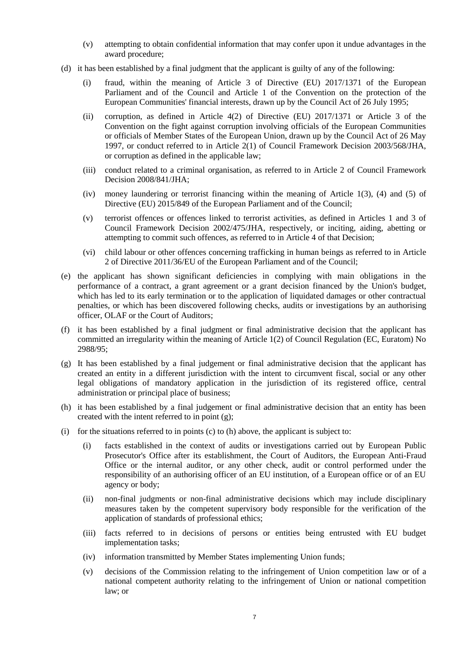- (v) attempting to obtain confidential information that may confer upon it undue advantages in the award procedure;
- (d) it has been established by a final judgment that the applicant is guilty of any of the following:
	- (i) fraud, within the meaning of Article 3 of Directive (EU) 2017/1371 of the European Parliament and of the Council and Article 1 of the Convention on the protection of the European Communities' financial interests, drawn up by the Council Act of 26 July 1995;
	- (ii) corruption, as defined in Article 4(2) of Directive (EU) 2017/1371 or Article 3 of the Convention on the fight against corruption involving officials of the European Communities or officials of Member States of the European Union, drawn up by the Council Act of 26 May 1997, or conduct referred to in Article 2(1) of Council Framework Decision 2003/568/JHA, or corruption as defined in the applicable law;
	- (iii) conduct related to a criminal organisation, as referred to in Article 2 of Council Framework Decision 2008/841/JHA;
	- (iv) money laundering or terrorist financing within the meaning of Article 1(3), (4) and (5) of Directive (EU) 2015/849 of the European Parliament and of the Council;
	- (v) terrorist offences or offences linked to terrorist activities, as defined in Articles 1 and 3 of Council Framework Decision 2002/475/JHA, respectively, or inciting, aiding, abetting or attempting to commit such offences, as referred to in Article 4 of that Decision;
	- (vi) child labour or other offences concerning trafficking in human beings as referred to in Article 2 of Directive 2011/36/EU of the European Parliament and of the Council;
- (e) the applicant has shown significant deficiencies in complying with main obligations in the performance of a contract, a grant agreement or a grant decision financed by the Union's budget, which has led to its early termination or to the application of liquidated damages or other contractual penalties, or which has been discovered following checks, audits or investigations by an authorising officer, OLAF or the Court of Auditors;
- (f) it has been established by a final judgment or final administrative decision that the applicant has committed an irregularity within the meaning of Article 1(2) of Council Regulation (EC, Euratom) No 2988/95;
- (g) It has been established by a final judgement or final administrative decision that the applicant has created an entity in a different jurisdiction with the intent to circumvent fiscal, social or any other legal obligations of mandatory application in the jurisdiction of its registered office, central administration or principal place of business;
- (h) it has been established by a final judgement or final administrative decision that an entity has been created with the intent referred to in point (g);
- (i) for the situations referred to in points (c) to (h) above, the applicant is subject to:
	- (i) facts established in the context of audits or investigations carried out by European Public Prosecutor's Office after its establishment, the Court of Auditors, the European Anti-Fraud Office or the internal auditor, or any other check, audit or control performed under the responsibility of an authorising officer of an EU institution, of a European office or of an EU agency or body;
	- (ii) non-final judgments or non-final administrative decisions which may include disciplinary measures taken by the competent supervisory body responsible for the verification of the application of standards of professional ethics;
	- (iii) facts referred to in decisions of persons or entities being entrusted with EU budget implementation tasks;
	- (iv) information transmitted by Member States implementing Union funds;
	- (v) decisions of the Commission relating to the infringement of Union competition law or of a national competent authority relating to the infringement of Union or national competition law; or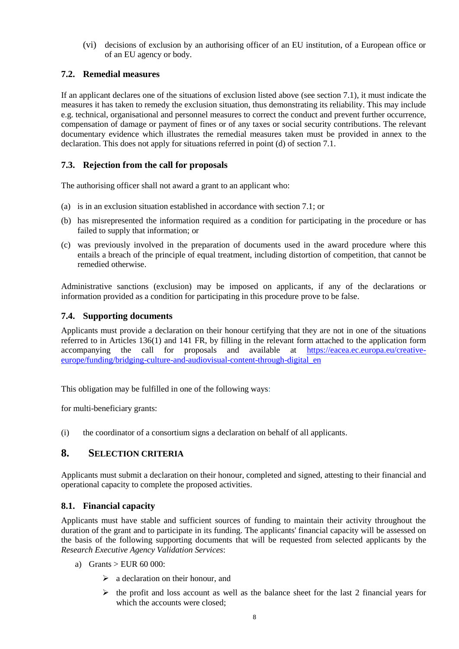(vi) decisions of exclusion by an authorising officer of an EU institution, of a European office or of an EU agency or body.

## **7.2. Remedial measures**

If an applicant declares one of the situations of exclusion listed above (see section 7.1), it must indicate the measures it has taken to remedy the exclusion situation, thus demonstrating its reliability. This may include e.g. technical, organisational and personnel measures to correct the conduct and prevent further occurrence, compensation of damage or payment of fines or of any taxes or social security contributions. The relevant documentary evidence which illustrates the remedial measures taken must be provided in annex to the declaration. This does not apply for situations referred in point (d) of section 7.1.

## **7.3. Rejection from the call for proposals**

The authorising officer shall not award a grant to an applicant who:

- (a) is in an exclusion situation established in accordance with section 7.1; or
- (b) has misrepresented the information required as a condition for participating in the procedure or has failed to supply that information; or
- (c) was previously involved in the preparation of documents used in the award procedure where this entails a breach of the principle of equal treatment, including distortion of competition, that cannot be remedied otherwise.

Administrative sanctions (exclusion) may be imposed on applicants, if any of the declarations or information provided as a condition for participating in this procedure prove to be false.

### **7.4. Supporting documents**

Applicants must provide a declaration on their honour certifying that they are not in one of the situations referred to in Articles 136(1) and 141 FR, by filling in the relevant form attached to the application form accompanying the call for proposals and available at [https://eacea.ec.europa.eu/creative](https://eacea.ec.europa.eu/creative-europe/funding/bridging-culture-and-audiovisual-content-through-digital_en)[europe/funding/bridging-culture-and-audiovisual-content-through-digital\\_en](https://eacea.ec.europa.eu/creative-europe/funding/bridging-culture-and-audiovisual-content-through-digital_en)

This obligation may be fulfilled in one of the following ways:

for multi-beneficiary grants:

(i) the coordinator of a consortium signs a declaration on behalf of all applicants.

## **8. SELECTION CRITERIA**

Applicants must submit a declaration on their honour, completed and signed, attesting to their financial and operational capacity to complete the proposed activities.

### **8.1. Financial capacity**

Applicants must have stable and sufficient sources of funding to maintain their activity throughout the duration of the grant and to participate in its funding. The applicants' financial capacity will be assessed on the basis of the following supporting documents that will be requested from selected applicants by the *Research Executive Agency Validation Services*:

- a) Grants  $>$  EUR 60 000:
	- $\geq$  a declaration on their honour, and
	- $\triangleright$  the profit and loss account as well as the balance sheet for the last 2 financial years for which the accounts were closed;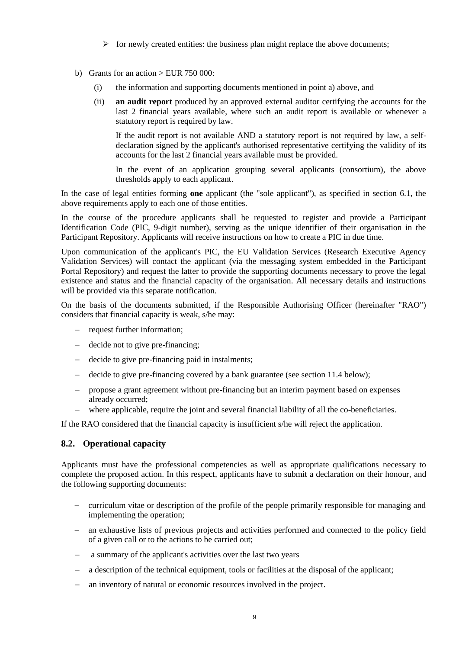- $\triangleright$  for newly created entities: the business plan might replace the above documents;
- b) Grants for an action  $>$  EUR 750 000:
	- (i) the information and supporting documents mentioned in point a) above, and
	- (ii) **an audit report** produced by an approved external auditor certifying the accounts for the last 2 financial years available, where such an audit report is available or whenever a statutory report is required by law.

If the audit report is not available AND a statutory report is not required by law, a selfdeclaration signed by the applicant's authorised representative certifying the validity of its accounts for the last 2 financial years available must be provided.

In the event of an application grouping several applicants (consortium), the above thresholds apply to each applicant.

In the case of legal entities forming **one** applicant (the "sole applicant"), as specified in section 6.1, the above requirements apply to each one of those entities.

In the course of the procedure applicants shall be requested to register and provide a Participant Identification Code (PIC, 9-digit number), serving as the unique identifier of their organisation in the Participant Repository. Applicants will receive instructions on how to create a PIC in due time.

Upon communication of the applicant's PIC, the EU Validation Services (Research Executive Agency Validation Services) will contact the applicant (via the messaging system embedded in the Participant Portal Repository) and request the latter to provide the supporting documents necessary to prove the legal existence and status and the financial capacity of the organisation. All necessary details and instructions will be provided via this separate notification.

On the basis of the documents submitted, if the Responsible Authorising Officer (hereinafter "RAO") considers that financial capacity is weak, s/he may:

- request further information;
- decide not to give pre-financing:
- decide to give pre-financing paid in instalments;
- decide to give pre-financing covered by a bank guarantee (see section 11.4 below);
- propose a grant agreement without pre-financing but an interim payment based on expenses already occurred;
- where applicable, require the joint and several financial liability of all the co-beneficiaries.

If the RAO considered that the financial capacity is insufficient s/he will reject the application.

### **8.2. Operational capacity**

Applicants must have the professional competencies as well as appropriate qualifications necessary to complete the proposed action. In this respect, applicants have to submit a declaration on their honour, and the following supporting documents:

- curriculum vitae or description of the profile of the people primarily responsible for managing and implementing the operation;
- an exhaustive lists of previous projects and activities performed and connected to the policy field of a given call or to the actions to be carried out;
- a summary of the applicant's activities over the last two years
- a description of the technical equipment, tools or facilities at the disposal of the applicant;
- an inventory of natural or economic resources involved in the project.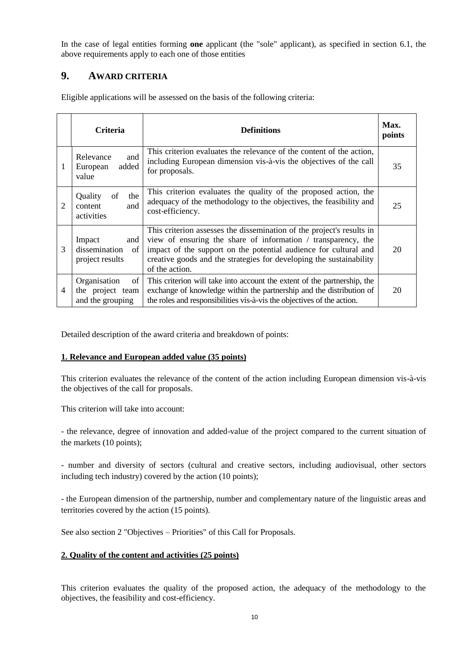In the case of legal entities forming **one** applicant (the "sole" applicant), as specified in section 6.1, the above requirements apply to each one of those entities

# **9. AWARD CRITERIA**

|   | <b>Criteria</b>                                            | <b>Definitions</b>                                                                                                                                                                                                                                                                                  | Max.<br>points |
|---|------------------------------------------------------------|-----------------------------------------------------------------------------------------------------------------------------------------------------------------------------------------------------------------------------------------------------------------------------------------------------|----------------|
| 1 | Relevance<br>and<br>added<br>European<br>value             | This criterion evaluates the relevance of the content of the action,<br>including European dimension vis-à-vis the objectives of the call<br>for proposals.                                                                                                                                         | 35             |
| 2 | Quality<br>of<br>the<br>content<br>and<br>activities       | This criterion evaluates the quality of the proposed action, the<br>adequacy of the methodology to the objectives, the feasibility and<br>cost-efficiency.                                                                                                                                          | 25             |
| 3 | Impact<br>and<br>dissemination<br>of<br>project results    | This criterion assesses the dissemination of the project's results in<br>view of ensuring the share of information / transparency, the<br>impact of the support on the potential audience for cultural and<br>creative goods and the strategies for developing the sustainability<br>of the action. | 20             |
| 4 | Organisation<br>of<br>the project team<br>and the grouping | This criterion will take into account the extent of the partnership, the<br>exchange of knowledge within the partnership and the distribution of<br>the roles and responsibilities vis-à-vis the objectives of the action.                                                                          | 20             |

Eligible applications will be assessed on the basis of the following criteria:

Detailed description of the award criteria and breakdown of points:

### **1. Relevance and European added value (35 points)**

This criterion evaluates the relevance of the content of the action including European dimension vis-à-vis the objectives of the call for proposals.

This criterion will take into account:

- the relevance, degree of innovation and added-value of the project compared to the current situation of the markets (10 points);

- number and diversity of sectors (cultural and creative sectors, including audiovisual, other sectors including tech industry) covered by the action (10 points);

- the European dimension of the partnership, number and complementary nature of the linguistic areas and territories covered by the action (15 points).

See also section 2 "Objectives – Priorities" of this Call for Proposals.

### **2. Quality of the content and activities (25 points)**

This criterion evaluates the quality of the proposed action, the adequacy of the methodology to the objectives, the feasibility and cost-efficiency.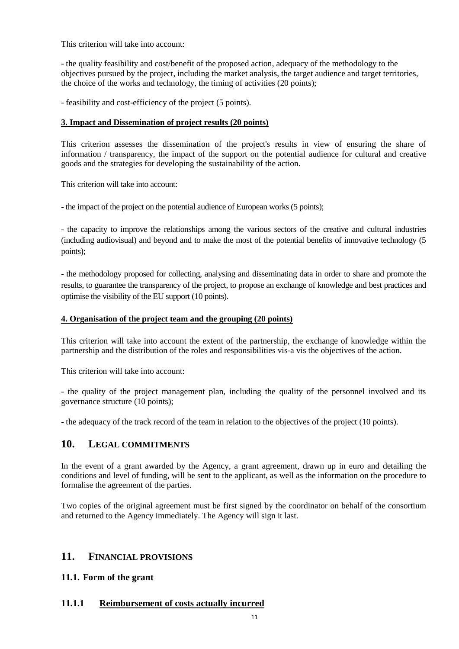This criterion will take into account:

- the quality feasibility and cost/benefit of the proposed action, adequacy of the methodology to the objectives pursued by the project, including the market analysis, the target audience and target territories, the choice of the works and technology, the timing of activities (20 points);

- feasibility and cost-efficiency of the project (5 points).

#### **3. Impact and Dissemination of project results (20 points)**

This criterion assesses the dissemination of the project's results in view of ensuring the share of information / transparency, the impact of the support on the potential audience for cultural and creative goods and the strategies for developing the sustainability of the action.

This criterion will take into account:

- the impact of the project on the potential audience of European works (5 points);

- the capacity to improve the relationships among the various sectors of the creative and cultural industries (including audiovisual) and beyond and to make the most of the potential benefits of innovative technology (5 points);

- the methodology proposed for collecting, analysing and disseminating data in order to share and promote the results, to guarantee the transparency of the project, to propose an exchange of knowledge and best practices and optimise the visibility of the EU support (10 points).

#### **4. Organisation of the project team and the grouping (20 points)**

This criterion will take into account the extent of the partnership, the exchange of knowledge within the partnership and the distribution of the roles and responsibilities vis-a vis the objectives of the action.

This criterion will take into account:

- the quality of the project management plan, including the quality of the personnel involved and its governance structure (10 points);

- the adequacy of the track record of the team in relation to the objectives of the project (10 points).

## **10. LEGAL COMMITMENTS**

In the event of a grant awarded by the Agency, a grant agreement, drawn up in euro and detailing the conditions and level of funding, will be sent to the applicant, as well as the information on the procedure to formalise the agreement of the parties.

Two copies of the original agreement must be first signed by the coordinator on behalf of the consortium and returned to the Agency immediately. The Agency will sign it last.

## **11. FINANCIAL PROVISIONS**

### **11.1. Form of the grant**

### **11.1.1 Reimbursement of costs actually incurred**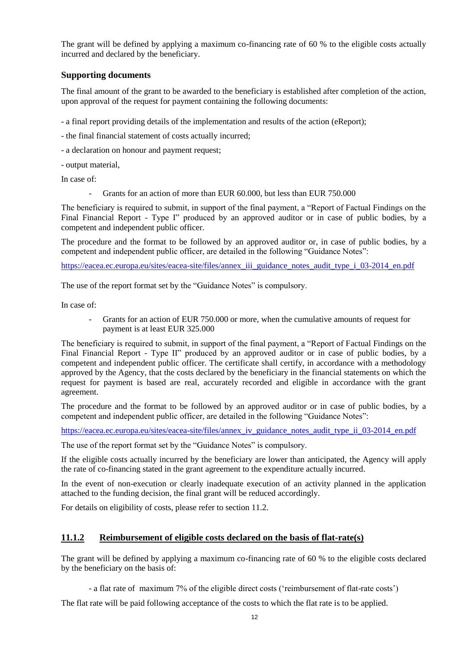The grant will be defined by applying a maximum co-financing rate of 60 % to the eligible costs actually incurred and declared by the beneficiary.

### **Supporting documents**

The final amount of the grant to be awarded to the beneficiary is established after completion of the action, upon approval of the request for payment containing the following documents:

- a final report providing details of the implementation and results of the action (eReport);

- the final financial statement of costs actually incurred;
- a declaration on honour and payment request;

- output material,

In case of:

Grants for an action of more than EUR 60.000, but less than EUR 750.000

The beneficiary is required to submit, in support of the final payment, a "Report of Factual Findings on the Final Financial Report - Type I" produced by an approved auditor or in case of public bodies, by a competent and independent public officer.

The procedure and the format to be followed by an approved auditor or, in case of public bodies, by a competent and independent public officer, are detailed in the following "Guidance Notes":

[https://eacea.ec.europa.eu/sites/eacea-site/files/annex\\_iii\\_guidance\\_notes\\_audit\\_type\\_i\\_03-2014\\_en.pdf](https://eacea.ec.europa.eu/sites/eacea-site/files/annex_iii_guidance_notes_audit_type_i_03-2014_en.pdf)

The use of the report format set by the "Guidance Notes" is compulsory.

In case of:

Grants for an action of EUR 750,000 or more, when the cumulative amounts of request for payment is at least EUR 325.000

The beneficiary is required to submit, in support of the final payment, a "Report of Factual Findings on the Final Financial Report - Type II" produced by an approved auditor or in case of public bodies, by a competent and independent public officer. The certificate shall certify, in accordance with a methodology approved by the Agency, that the costs declared by the beneficiary in the financial statements on which the request for payment is based are real, accurately recorded and eligible in accordance with the grant agreement.

The procedure and the format to be followed by an approved auditor or in case of public bodies, by a competent and independent public officer, are detailed in the following "Guidance Notes":

[https://eacea.ec.europa.eu/sites/eacea-site/files/annex\\_iv\\_guidance\\_notes\\_audit\\_type\\_ii\\_03-2014\\_en.pdf](https://eacea.ec.europa.eu/sites/eacea-site/files/annex_iv_guidance_notes_audit_type_ii_03-2014_en.pdf)

The use of the report format set by the "Guidance Notes" is compulsory.

If the eligible costs actually incurred by the beneficiary are lower than anticipated, the Agency will apply the rate of co-financing stated in the grant agreement to the expenditure actually incurred.

In the event of non-execution or clearly inadequate execution of an activity planned in the application attached to the funding decision, the final grant will be reduced accordingly.

For details on eligibility of costs, please refer to section 11.2.

### **11.1.2 Reimbursement of eligible costs declared on the basis of flat-rate(s)**

The grant will be defined by applying a maximum co-financing rate of 60 % to the eligible costs declared by the beneficiary on the basis of:

- a flat rate of maximum 7% of the eligible direct costs ('reimbursement of flat-rate costs')

The flat rate will be paid following acceptance of the costs to which the flat rate is to be applied.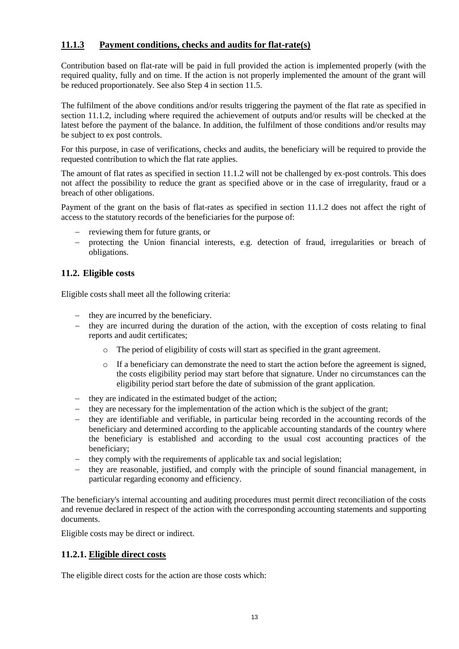## **11.1.3 Payment conditions, checks and audits for flat-rate(s)**

Contribution based on flat-rate will be paid in full provided the action is implemented properly (with the required quality, fully and on time. If the action is not properly implemented the amount of the grant will be reduced proportionately. See also Step 4 in section 11.5.

The fulfilment of the above conditions and/or results triggering the payment of the flat rate as specified in section 11.1.2, including where required the achievement of outputs and/or results will be checked at the latest before the payment of the balance. In addition, the fulfilment of those conditions and/or results may be subject to ex post controls.

For this purpose, in case of verifications, checks and audits, the beneficiary will be required to provide the requested contribution to which the flat rate applies.

The amount of flat rates as specified in section 11.1.2 will not be challenged by ex-post controls. This does not affect the possibility to reduce the grant as specified above or in the case of irregularity, fraud or a breach of other obligations.

Payment of the grant on the basis of flat-rates as specified in section 11.1.2 does not affect the right of access to the statutory records of the beneficiaries for the purpose of:

- reviewing them for future grants, or
- protecting the Union financial interests, e.g. detection of fraud, irregularities or breach of obligations.

### **11.2. Eligible costs**

Eligible costs shall meet all the following criteria:

- they are incurred by the beneficiary.
- $\theta$  they are incurred during the duration of the action, with the exception of costs relating to final reports and audit certificates;
	- o The period of eligibility of costs will start as specified in the grant agreement.
	- o If a beneficiary can demonstrate the need to start the action before the agreement is signed, the costs eligibility period may start before that signature. Under no circumstances can the eligibility period start before the date of submission of the grant application.
- they are indicated in the estimated budget of the action;
- $-$  they are necessary for the implementation of the action which is the subject of the grant;
- $\theta$  they are identifiable and verifiable, in particular being recorded in the accounting records of the beneficiary and determined according to the applicable accounting standards of the country where the beneficiary is established and according to the usual cost accounting practices of the beneficiary;
- they comply with the requirements of applicable tax and social legislation;
- they are reasonable, justified, and comply with the principle of sound financial management, in particular regarding economy and efficiency.

The beneficiary's internal accounting and auditing procedures must permit direct reconciliation of the costs and revenue declared in respect of the action with the corresponding accounting statements and supporting documents.

Eligible costs may be direct or indirect.

### **11.2.1. Eligible direct costs**

The eligible direct costs for the action are those costs which: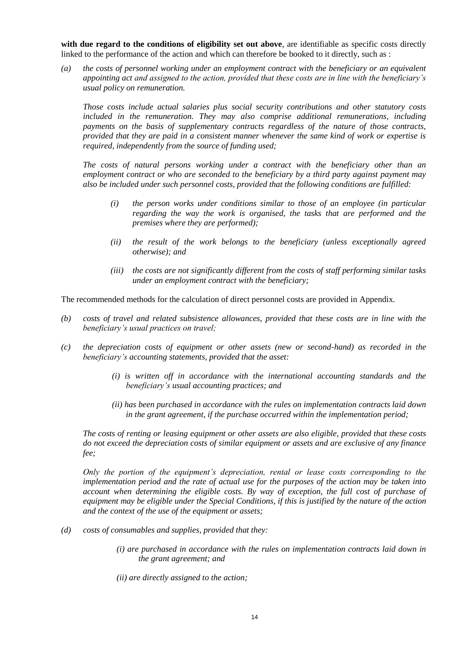with due regard to the conditions of eligibility set out above, are identifiable as specific costs directly linked to the performance of the action and which can therefore be booked to it directly, such as :

*(a) the costs of personnel working under an employment contract with the beneficiary or an equivalent appointing act and assigned to the action, provided that these costs are in line with the beneficiary's usual policy on remuneration.*

*Those costs include actual salaries plus social security contributions and other statutory costs included in the remuneration. They may also comprise additional remunerations, including payments on the basis of supplementary contracts regardless of the nature of those contracts, provided that they are paid in a consistent manner whenever the same kind of work or expertise is required, independently from the source of funding used;*

*The costs of natural persons working under a contract with the beneficiary other than an employment contract or who are seconded to the beneficiary by a third party against payment may also be included under such personnel costs, provided that the following conditions are fulfilled:*

- *(i) the person works under conditions similar to those of an employee (in particular regarding the way the work is organised, the tasks that are performed and the premises where they are performed);*
- *(ii) the result of the work belongs to the beneficiary (unless exceptionally agreed otherwise); and*
- *(iii) the costs are not significantly different from the costs of staff performing similar tasks under an employment contract with the beneficiary;*

The recommended methods for the calculation of direct personnel costs are provided in Appendix.

- *(b) costs of travel and related subsistence allowances, provided that these costs are in line with the beneficiary's usual practices on travel;*
- *(c) the depreciation costs of equipment or other assets (new or second-hand) as recorded in the beneficiary's accounting statements, provided that the asset:*
	- *(i) is written off in accordance with the international accounting standards and the beneficiary's usual accounting practices; and*
	- *(ii) has been purchased in accordance with the rules on implementation contracts laid down in the grant agreement, if the purchase occurred within the implementation period;*

*The costs of renting or leasing equipment or other assets are also eligible, provided that these costs do not exceed the depreciation costs of similar equipment or assets and are exclusive of any finance fee;*

*Only the portion of the equipment's depreciation, rental or lease costs corresponding to the implementation period and the rate of actual use for the purposes of the action may be taken into account when determining the eligible costs. By way of exception, the full cost of purchase of equipment may be eligible under the Special Conditions, if this is justified by the nature of the action and the context of the use of the equipment or assets;*

- *(d) costs of consumables and supplies, provided that they:*
	- *(i) are purchased in accordance with the rules on implementation contracts laid down in the grant agreement; and*
	- *(ii) are directly assigned to the action;*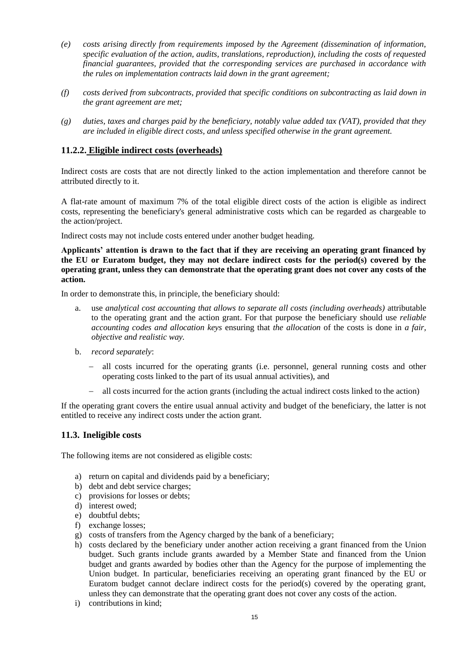- *(e) costs arising directly from requirements imposed by the Agreement (dissemination of information, specific evaluation of the action, audits, translations, reproduction), including the costs of requested financial guarantees, provided that the corresponding services are purchased in accordance with the rules on implementation contracts laid down in the grant agreement;*
- *(f) costs derived from subcontracts, provided that specific conditions on subcontracting as laid down in the grant agreement are met;*
- *(g) duties, taxes and charges paid by the beneficiary, notably value added tax (VAT), provided that they are included in eligible direct costs, and unless specified otherwise in the grant agreement.*

### **11.2.2. Eligible indirect costs (overheads)**

Indirect costs are costs that are not directly linked to the action implementation and therefore cannot be attributed directly to it.

A flat-rate amount of maximum 7% of the total eligible direct costs of the action is eligible as indirect costs, representing the beneficiary's general administrative costs which can be regarded as chargeable to the action/project.

Indirect costs may not include costs entered under another budget heading.

**Applicants' attention is drawn to the fact that if they are receiving an operating grant financed by the EU or Euratom budget, they may not declare indirect costs for the period(s) covered by the operating grant, unless they can demonstrate that the operating grant does not cover any costs of the action.**

In order to demonstrate this, in principle, the beneficiary should:

- a. use *analytical cost accounting that allows to separate all costs (including overheads)* attributable to the operating grant and the action grant. For that purpose the beneficiary should use *reliable accounting codes and allocation keys* ensuring that *the allocation* of the costs is done in *a fair, objective and realistic way.*
- b. *record separately*:
	- all costs incurred for the operating grants (i.e. personnel, general running costs and other operating costs linked to the part of its usual annual activities), and
	- all costs incurred for the action grants (including the actual indirect costs linked to the action)

If the operating grant covers the entire usual annual activity and budget of the beneficiary, the latter is not entitled to receive any indirect costs under the action grant.

### **11.3. Ineligible costs**

The following items are not considered as eligible costs:

- a) return on capital and dividends paid by a beneficiary;
- b) debt and debt service charges;
- c) provisions for losses or debts;
- d) interest owed;
- e) doubtful debts;
- f) exchange losses;
- g) costs of transfers from the Agency charged by the bank of a beneficiary;
- h) costs declared by the beneficiary under another action receiving a grant financed from the Union budget. Such grants include grants awarded by a Member State and financed from the Union budget and grants awarded by bodies other than the Agency for the purpose of implementing the Union budget. In particular, beneficiaries receiving an operating grant financed by the EU or Euratom budget cannot declare indirect costs for the period(s) covered by the operating grant, unless they can demonstrate that the operating grant does not cover any costs of the action.
- i) contributions in kind;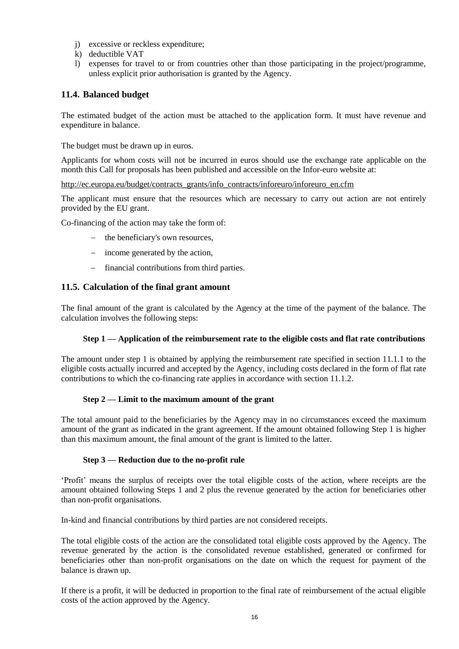- j) excessive or reckless expenditure;
- k) deductible VAT
- l) expenses for travel to or from countries other than those participating in the project/programme, unless explicit prior authorisation is granted by the Agency.

## **11.4. Balanced budget**

The estimated budget of the action must be attached to the application form. It must have revenue and expenditure in balance.

The budget must be drawn up in euros.

Applicants for whom costs will not be incurred in euros should use the exchange rate applicable on the month this Call for proposals has been published and accessible on the Infor-euro website at:

[http://ec.europa.eu/budget/contracts\\_grants/info\\_contracts/inforeuro/inforeuro\\_en.cfm](http://ec.europa.eu/budget/contracts_grants/info_contracts/inforeuro/inforeuro_en.cfm)

The applicant must ensure that the resources which are necessary to carry out action are not entirely provided by the EU grant.

Co-financing of the action may take the form of:

- the beneficiary's own resources,
- income generated by the action,
- financial contributions from third parties.

#### **11.5. Calculation of the final grant amount**

The final amount of the grant is calculated by the Agency at the time of the payment of the balance. The calculation involves the following steps:

#### **Step 1 — Application of the reimbursement rate to the eligible costs and flat rate contributions**

The amount under step 1 is obtained by applying the reimbursement rate specified in section 11.1.1 to the eligible costs actually incurred and accepted by the Agency, including costs declared in the form of flat rate contributions to which the co-financing rate applies in accordance with section 11.1.2.

#### **Step 2 — Limit to the maximum amount of the grant**

The total amount paid to the beneficiaries by the Agency may in no circumstances exceed the maximum amount of the grant as indicated in the grant agreement. If the amount obtained following Step 1 is higher than this maximum amount, the final amount of the grant is limited to the latter.

#### **Step 3 — Reduction due to the no-profit rule**

'Profit' means the surplus of receipts over the total eligible costs of the action, where receipts are the amount obtained following Steps 1 and 2 plus the revenue generated by the action for beneficiaries other than non-profit organisations.

In-kind and financial contributions by third parties are not considered receipts.

The total eligible costs of the action are the consolidated total eligible costs approved by the Agency. The revenue generated by the action is the consolidated revenue established, generated or confirmed for beneficiaries other than non-profit organisations on the date on which the request for payment of the balance is drawn up.

If there is a profit, it will be deducted in proportion to the final rate of reimbursement of the actual eligible costs of the action approved by the Agency.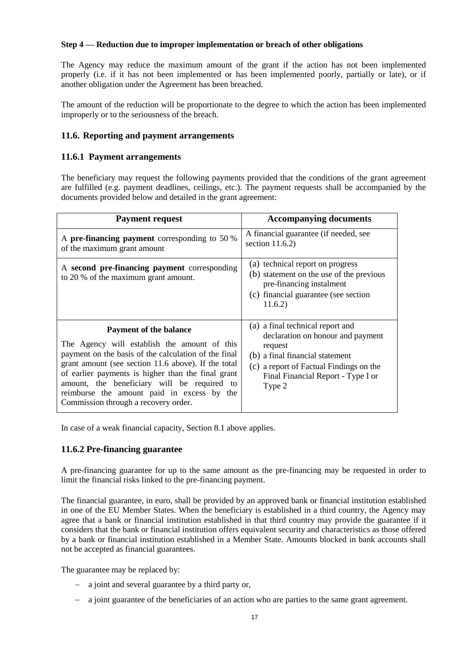#### **Step 4 — Reduction due to improper implementation or breach of other obligations**

The Agency may reduce the maximum amount of the grant if the action has not been implemented properly (i.e. if it has not been implemented or has been implemented poorly, partially or late), or if another obligation under the Agreement has been breached.

The amount of the reduction will be proportionate to the degree to which the action has been implemented improperly or to the seriousness of the breach.

#### **11.6. Reporting and payment arrangements**

### **11.6.1 Payment arrangements**

The beneficiary may request the following payments provided that the conditions of the grant agreement are fulfilled (e.g. payment deadlines, ceilings, etc.). The payment requests shall be accompanied by the documents provided below and detailed in the grant agreement:

| <b>Payment request</b>                                                                                                                                                                                                                                                                                                                                                                  | <b>Accompanying documents</b>                                                                                                                                                                                  |
|-----------------------------------------------------------------------------------------------------------------------------------------------------------------------------------------------------------------------------------------------------------------------------------------------------------------------------------------------------------------------------------------|----------------------------------------------------------------------------------------------------------------------------------------------------------------------------------------------------------------|
| A pre-financing payment corresponding to 50 %<br>of the maximum grant amount                                                                                                                                                                                                                                                                                                            | A financial guarantee (if needed, see<br>section $11.6.2$ )                                                                                                                                                    |
| A second pre-financing payment corresponding<br>to 20 % of the maximum grant amount.                                                                                                                                                                                                                                                                                                    | (a) technical report on progress<br>(b) statement on the use of the previous<br>pre-financing instalment<br>(c) financial guarantee (see section<br>11.6.2)                                                    |
| <b>Payment of the balance</b><br>The Agency will establish the amount of this<br>payment on the basis of the calculation of the final<br>grant amount (see section 11.6 above). If the total<br>of earlier payments is higher than the final grant<br>amount, the beneficiary will be required to<br>reimburse the amount paid in excess by the<br>Commission through a recovery order. | (a) a final technical report and<br>declaration on honour and payment<br>request<br>(b) a final financial statement<br>(c) a report of Factual Findings on the<br>Final Financial Report - Type I or<br>Type 2 |

In case of a weak financial capacity, Section 8.1 above applies.

### **11.6.2 Pre-financing guarantee**

A pre-financing guarantee for up to the same amount as the pre-financing may be requested in order to limit the financial risks linked to the pre-financing payment.

The financial guarantee, in euro, shall be provided by an approved bank or financial institution established in one of the EU Member States. When the beneficiary is established in a third country, the Agency may agree that a bank or financial institution established in that third country may provide the guarantee if it considers that the bank or financial institution offers equivalent security and characteristics as those offered by a bank or financial institution established in a Member State. Amounts blocked in bank accounts shall not be accepted as financial guarantees.

The guarantee may be replaced by:

- a joint and several guarantee by a third party or,
- a joint guarantee of the beneficiaries of an action who are parties to the same grant agreement.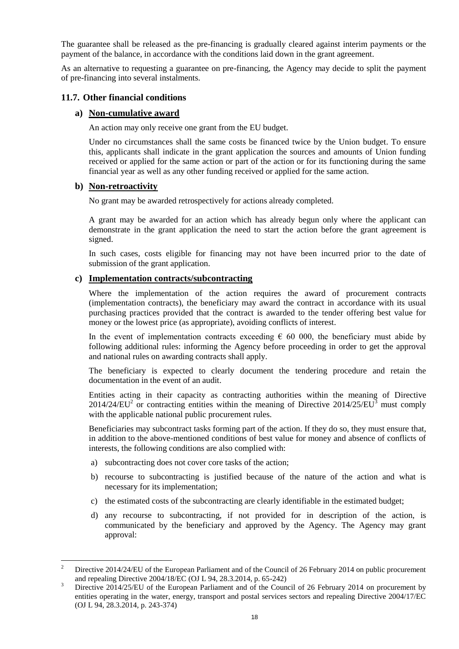The guarantee shall be released as the pre-financing is gradually cleared against interim payments or the payment of the balance, in accordance with the conditions laid down in the grant agreement.

As an alternative to requesting a guarantee on pre-financing, the Agency may decide to split the payment of pre-financing into several instalments.

#### **11.7. Other financial conditions**

#### **a) Non-cumulative award**

An action may only receive one grant from the EU budget.

Under no circumstances shall the same costs be financed twice by the Union budget. To ensure this, applicants shall indicate in the grant application the sources and amounts of Union funding received or applied for the same action or part of the action or for its functioning during the same financial year as well as any other funding received or applied for the same action.

#### **b) Non-retroactivity**

l

No grant may be awarded retrospectively for actions already completed.

A grant may be awarded for an action which has already begun only where the applicant can demonstrate in the grant application the need to start the action before the grant agreement is signed.

In such cases, costs eligible for financing may not have been incurred prior to the date of submission of the grant application.

#### **c) Implementation contracts/subcontracting**

Where the implementation of the action requires the award of procurement contracts (implementation contracts), the beneficiary may award the contract in accordance with its usual purchasing practices provided that the contract is awarded to the tender offering best value for money or the lowest price (as appropriate), avoiding conflicts of interest.

In the event of implementation contracts exceeding  $\epsilon$  60 000, the beneficiary must abide by following additional rules: informing the Agency before proceeding in order to get the approval and national rules on awarding contracts shall apply.

The beneficiary is expected to clearly document the tendering procedure and retain the documentation in the event of an audit.

Entities acting in their capacity as contracting authorities within the meaning of Directive  $2014/24/EU<sup>2</sup>$  or contracting entities within the meaning of Directive 2014/25/EU<sup>3</sup> must comply with the applicable national public procurement rules.

Beneficiaries may subcontract tasks forming part of the action. If they do so, they must ensure that, in addition to the above-mentioned conditions of best value for money and absence of conflicts of interests, the following conditions are also complied with:

- a) subcontracting does not cover core tasks of the action;
- b) recourse to subcontracting is justified because of the nature of the action and what is necessary for its implementation;
- c) the estimated costs of the subcontracting are clearly identifiable in the estimated budget;
- d) any recourse to subcontracting, if not provided for in description of the action, is communicated by the beneficiary and approved by the Agency. The Agency may grant approval:

<sup>2</sup> Directive 2014/24/EU of the European Parliament and of the Council of 26 February 2014 on public procurement and repealing Directive 2004/18/EC (OJ L 94, 28.3.2014, p. 65-242)

<sup>&</sup>lt;sup>3</sup> Directive 2014/25/EU of the European Parliament and of the Council of 26 February 2014 on procurement by entities operating in the water, energy, transport and postal services sectors and repealing Directive 2004/17/EC (OJ L 94, 28.3.2014, p. 243-374)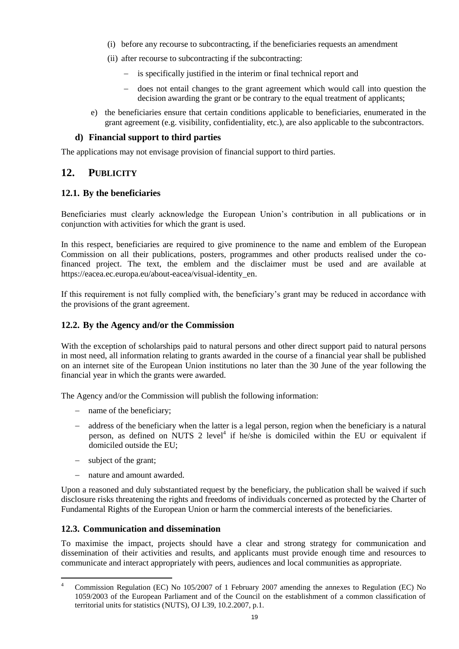- (i) before any recourse to subcontracting, if the beneficiaries requests an amendment
- (ii) after recourse to subcontracting if the subcontracting:
	- is specifically justified in the interim or final technical report and
	- does not entail changes to the grant agreement which would call into question the decision awarding the grant or be contrary to the equal treatment of applicants;
- e) the beneficiaries ensure that certain conditions applicable to beneficiaries, enumerated in the grant agreement (e.g. visibility, confidentiality, etc.), are also applicable to the subcontractors.

### **d) Financial support to third parties**

The applications may not envisage provision of financial support to third parties.

## **12. PUBLICITY**

## **12.1. By the beneficiaries**

Beneficiaries must clearly acknowledge the European Union's contribution in all publications or in conjunction with activities for which the grant is used.

In this respect, beneficiaries are required to give prominence to the name and emblem of the European Commission on all their publications, posters, programmes and other products realised under the cofinanced project. The text, the emblem and the disclaimer must be used and are available at https://eacea.ec.europa.eu/about-eacea/visual-identity\_en.

If this requirement is not fully complied with, the beneficiary's grant may be reduced in accordance with the provisions of the grant agreement.

### **12.2. By the Agency and/or the Commission**

With the exception of scholarships paid to natural persons and other direct support paid to natural persons in most need, all information relating to grants awarded in the course of a financial year shall be published on an internet site of the European Union institutions no later than the 30 June of the year following the financial year in which the grants were awarded.

The Agency and/or the Commission will publish the following information:

- name of the beneficiary;
- address of the beneficiary when the latter is a legal person, region when the beneficiary is a natural person, as defined on NUTS 2 level<sup>4</sup> if he/she is domiciled within the EU or equivalent if domiciled outside the EU;
- subject of the grant;
- nature and amount awarded.

Upon a reasoned and duly substantiated request by the beneficiary, the publication shall be waived if such disclosure risks threatening the rights and freedoms of individuals concerned as protected by the Charter of Fundamental Rights of the European Union or harm the commercial interests of the beneficiaries.

### **12.3. Communication and dissemination**

To maximise the impact, projects should have a clear and strong strategy for communication and dissemination of their activities and results, and applicants must provide enough time and resources to communicate and interact appropriately with peers, audiences and local communities as appropriate.

l <sup>4</sup> Commission Regulation (EC) No 105/2007 of 1 February 2007 amending the annexes to Regulation (EC) No 1059/2003 of the European Parliament and of the Council on the establishment of a common classification of territorial units for statistics (NUTS), OJ L39, 10.2.2007, p.1.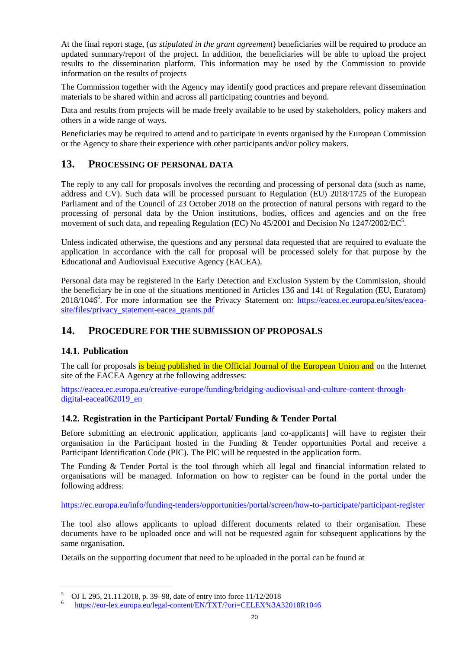At the final report stage, (*as stipulated in the grant agreement*) beneficiaries will be required to produce an updated summary/report of the project. In addition, the beneficiaries will be able to upload the project results to the dissemination platform. This information may be used by the Commission to provide information on the results of projects

The Commission together with the Agency may identify good practices and prepare relevant dissemination materials to be shared within and across all participating countries and beyond.

Data and results from projects will be made freely available to be used by stakeholders, policy makers and others in a wide range of ways.

Beneficiaries may be required to attend and to participate in events organised by the European Commission or the Agency to share their experience with other participants and/or policy makers.

# **13. PROCESSING OF PERSONAL DATA**

The reply to any call for proposals involves the recording and processing of personal data (such as name, address and CV). Such data will be processed pursuant to Regulation (EU) 2018/1725 of the European Parliament and of the Council of 23 October 2018 on the protection of natural persons with regard to the processing of personal data by the Union institutions, bodies, offices and agencies and on the free movement of such data, and repealing Regulation (EC) No 45/2001 and Decision No 1247/2002/EC<sup>5</sup>.

Unless indicated otherwise, the questions and any personal data requested that are required to evaluate the application in accordance with the call for proposal will be processed solely for that purpose by the Educational and Audiovisual Executive Agency (EACEA).

Personal data may be registered in the Early Detection and Exclusion System by the Commission, should the beneficiary be in one of the situations mentioned in Articles 136 and 141 of Regulation (EU, Euratom) 2018/1046<sup>6</sup>. For more information see the Privacy Statement on: [https://eacea.ec.europa.eu/sites/eacea](https://eacea.ec.europa.eu/sites/eacea-site/files/privacy_statement-eacea_grants.pdf)[site/files/privacy\\_statement-eacea\\_grants.pdf](https://eacea.ec.europa.eu/sites/eacea-site/files/privacy_statement-eacea_grants.pdf)

## **14. PROCEDURE FOR THE SUBMISSION OF PROPOSALS**

### **14.1. Publication**

The call for proposals is being published in the Official Journal of the European Union and on the Internet site of the EACEA Agency at the following addresses:

[https://eacea.ec.europa.eu/creative-europe/funding/bridging-audiovisual-and-culture-content-through](https://eacea.ec.europa.eu/creative-europe/funding/bridging-audiovisual-and-culture-content-through-digital-eacea062019_en)[digital-eacea062019\\_en](https://eacea.ec.europa.eu/creative-europe/funding/bridging-audiovisual-and-culture-content-through-digital-eacea062019_en)

### **14.2. Registration in the Participant Portal/ Funding & Tender Portal**

Before submitting an electronic application, applicants [and co-applicants] will have to register their organisation in the Participant hosted in the Funding & Tender opportunities Portal and receive a Participant Identification Code (PIC). The PIC will be requested in the application form.

The Funding & Tender Portal is the tool through which all legal and financial information related to organisations will be managed. Information on how to register can be found in the portal under the following address:

<https://ec.europa.eu/info/funding-tenders/opportunities/portal/screen/how-to-participate/participant-register>

The tool also allows applicants to upload different documents related to their organisation. These documents have to be uploaded once and will not be requested again for subsequent applications by the same organisation.

Details on the supporting document that need to be uploaded in the portal can be found at

 $\frac{1}{5}$ OJ L 295, 21.11.2018, p. 39–98, date of entry into force 11/12/2018

<sup>6</sup> <https://eur-lex.europa.eu/legal-content/EN/TXT/?uri=CELEX%3A32018R1046>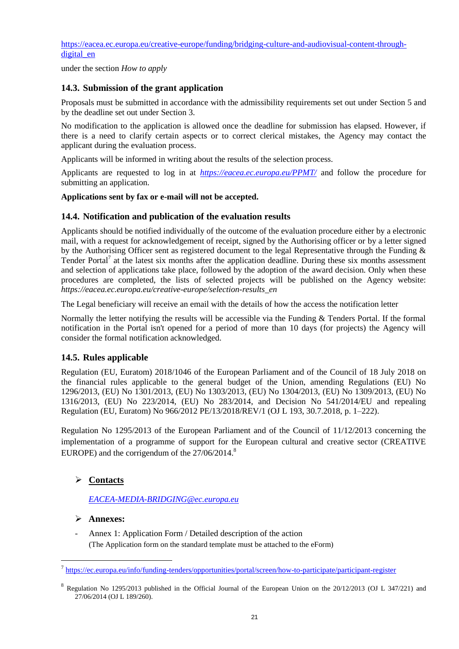[https://eacea.ec.europa.eu/creative-europe/funding/bridging-culture-and-audiovisual-content-through](https://eacea.ec.europa.eu/creative-europe/funding/bridging-culture-and-audiovisual-content-through-digital_en)digital en

under the section *How to apply*

## **14.3. Submission of the grant application**

Proposals must be submitted in accordance with the admissibility requirements set out under Section 5 and by the deadline set out under Section 3.

No modification to the application is allowed once the deadline for submission has elapsed. However, if there is a need to clarify certain aspects or to correct clerical mistakes, the Agency may contact the applicant during the evaluation process.

Applicants will be informed in writing about the results of the selection process.

Applicants are requested to log in at *<https://eacea.ec.europa.eu/PPMT/>* and follow the procedure for submitting an application.

#### **Applications sent by fax or e-mail will not be accepted.**

### **14.4. Notification and publication of the evaluation results**

Applicants should be notified individually of the outcome of the evaluation procedure either by a electronic mail, with a request for acknowledgement of receipt, signed by the Authorising officer or by a letter signed by the Authorising Officer sent as registered document to the legal Representative through the Funding & Tender Portal<sup>7</sup> at the latest six months after the application deadline. During these six months assessment and selection of applications take place, followed by the adoption of the award decision. Only when these procedures are completed, the lists of selected projects will be published on the Agency website: *https://eacea.ec.europa.eu/creative-europe/selection-results\_en*

The Legal beneficiary will receive an email with the details of how the access the notification letter

Normally the letter notifying the results will be accessible via the Funding & Tenders Portal. If the formal notification in the Portal isn't opened for a period of more than 10 days (for projects) the Agency will consider the formal notification acknowledged.

### **14.5. Rules applicable**

Regulation (EU, Euratom) 2018/1046 of the European Parliament and of the Council of 18 July 2018 on the financial rules applicable to the general budget of the Union, amending Regulations (EU) No 1296/2013, (EU) No 1301/2013, (EU) No 1303/2013, (EU) No 1304/2013, (EU) No 1309/2013, (EU) No 1316/2013, (EU) No 223/2014, (EU) No 283/2014, and Decision No 541/2014/EU and repealing Regulation (EU, Euratom) No 966/2012 PE/13/2018/REV/1 (OJ L 193, 30.7.2018, p. 1–222).

Regulation No 1295/2013 of the European Parliament and of the Council of 11/12/2013 concerning the implementation of a programme of support for the European cultural and creative sector (CREATIVE EUROPE) and the corrigendum of the  $27/06/2014$ .<sup>8</sup>

## **Contacts**

*[EACEA-MEDIA-BRIDGING@ec.europa.eu](mailto:EACEA-MEDIA-BRIDGING@ec.europa.eu)*

### **Annexes:**

 $\overline{a}$ 

- Annex 1: Application Form / Detailed description of the action (The Application form on the standard template must be attached to the eForm)

<sup>&</sup>lt;sup>7</sup> <https://ec.europa.eu/info/funding-tenders/opportunities/portal/screen/how-to-participate/participant-register>

<sup>&</sup>lt;sup>8</sup> Regulation No 1295/2013 published in the Official Journal of the European Union on the 20/12/2013 (OJ L 347/221) and 27/06/2014 (OJ L 189/260).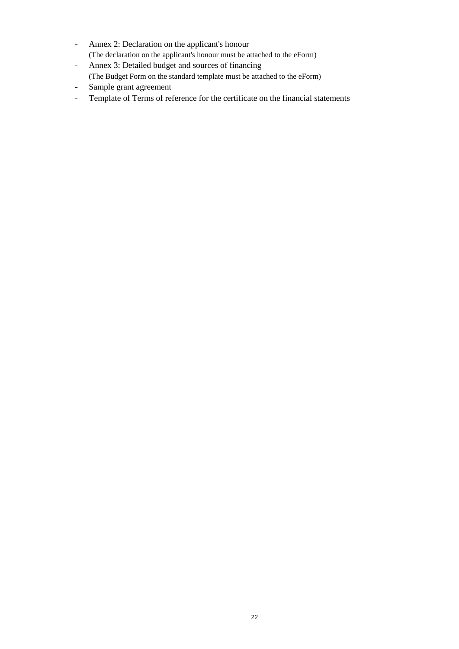- Annex 2: Declaration on the applicant's honour (The declaration on the applicant's honour must be attached to the eForm)
- Annex 3: Detailed budget and sources of financing (The Budget Form on the standard template must be attached to the eForm)
- Sample grant agreement
- Template of Terms of reference for the certificate on the financial statements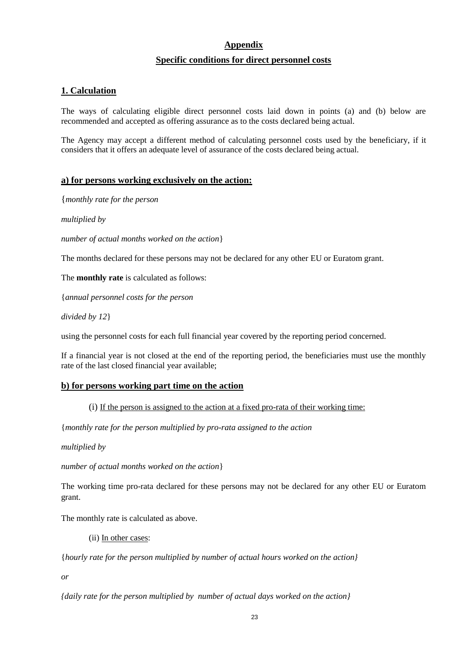# **Appendix Specific conditions for direct personnel costs**

## **1. Calculation**

The ways of calculating eligible direct personnel costs laid down in points (a) and (b) below are recommended and accepted as offering assurance as to the costs declared being actual.

The Agency may accept a different method of calculating personnel costs used by the beneficiary, if it considers that it offers an adequate level of assurance of the costs declared being actual.

#### **a) for persons working exclusively on the action:**

{*monthly rate for the person*

*multiplied by* 

*number of actual months worked on the action*}

The months declared for these persons may not be declared for any other EU or Euratom grant.

The **monthly rate** is calculated as follows:

{*annual personnel costs for the person* 

*divided by 12*}

using the personnel costs for each full financial year covered by the reporting period concerned.

If a financial year is not closed at the end of the reporting period, the beneficiaries must use the monthly rate of the last closed financial year available;

### **b) for persons working part time on the action**

(i) If the person is assigned to the action at a fixed pro-rata of their working time:

{*monthly rate for the person multiplied by pro-rata assigned to the action*

*multiplied by* 

*number of actual months worked on the action*}

The working time pro-rata declared for these persons may not be declared for any other EU or Euratom grant.

The monthly rate is calculated as above.

(ii) In other cases:

{*hourly rate for the person multiplied by number of actual hours worked on the action}*

*or* 

*{daily rate for the person multiplied by number of actual days worked on the action}*